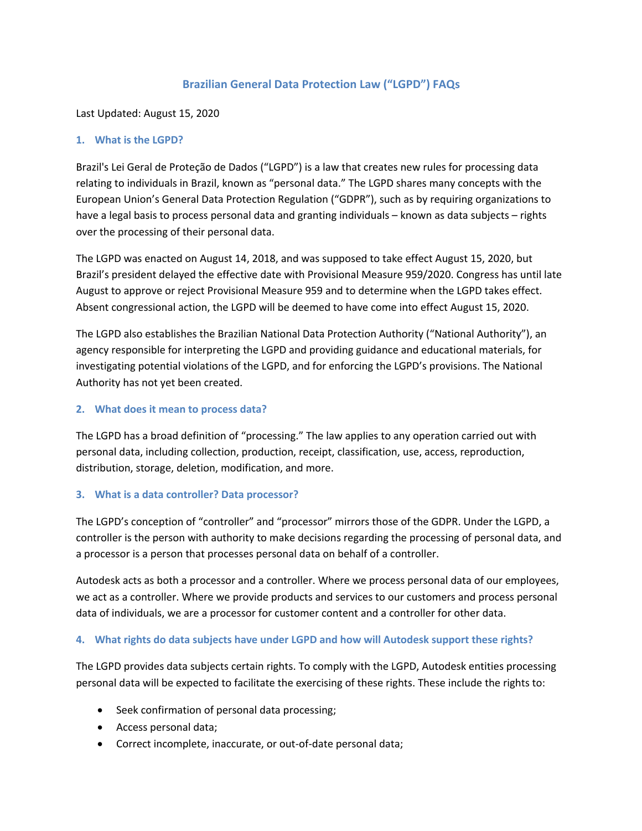# **Brazilian General Data Protection Law ("LGPD") FAQs**

Last Updated: August 15, 2020

### **1. What is the LGPD?**

Brazil's Lei Geral de Proteção de Dados ("LGPD") is a law that creates new rules for processing data relating to individuals in Brazil, known as "personal data." The LGPD shares many concepts with the European Union's General Data Protection Regulation ("GDPR"), such as by requiring organizations to have a legal basis to process personal data and granting individuals – known as data subjects – rights over the processing of their personal data.

The LGPD was enacted on August 14, 2018, and was supposed to take effect August 15, 2020, but Brazil's president delayed the effective date with Provisional Measure 959/2020. Congress has until late August to approve or reject Provisional Measure 959 and to determine when the LGPD takes effect. Absent congressional action, the LGPD will be deemed to have come into effect August 15, 2020.

The LGPD also establishes the Brazilian National Data Protection Authority ("National Authority"), an agency responsible for interpreting the LGPD and providing guidance and educational materials, for investigating potential violations of the LGPD, and for enforcing the LGPD's provisions. The National Authority has not yet been created.

#### **2. What does it mean to process data?**

The LGPD has a broad definition of "processing." The law applies to any operation carried out with personal data, including collection, production, receipt, classification, use, access, reproduction, distribution, storage, deletion, modification, and more.

### **3. What is a data controller? Data processor?**

The LGPD's conception of "controller" and "processor" mirrors those of the GDPR. Under the LGPD, a controller is the person with authority to make decisions regarding the processing of personal data, and a processor is a person that processes personal data on behalf of a controller.

Autodesk acts as both a processor and a controller. Where we process personal data of our employees, we act as a controller. Where we provide products and services to our customers and process personal data of individuals, we are a processor for customer content and a controller for other data.

### **4. What rights do data subjects have under LGPD and how will Autodesk support these rights?**

The LGPD provides data subjects certain rights. To comply with the LGPD, Autodesk entities processing personal data will be expected to facilitate the exercising of these rights. These include the rights to:

- Seek confirmation of personal data processing;
- Access personal data;
- Correct incomplete, inaccurate, or out-of-date personal data;